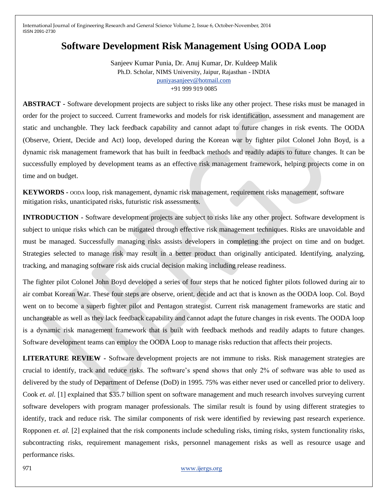# **Software Development Risk Management Using OODA Loop**

Sanjeev Kumar Punia, Dr. Anuj Kumar, Dr. Kuldeep Malik Ph.D. Scholar, NIMS University, Jaipur, Rajasthan - INDIA [puniyasanjeev@hotmail.com](mailto:puniyasanjeev@hotmail.com) +91 999 919 0085

**ABSTRACT -** Software development projects are subject to risks like any other project. These risks must be managed in order for the project to succeed. Current frameworks and models for risk identification, assessment and management are static and unchangble. They lack feedback capability and cannot adapt to future changes in risk events. The OODA (Observe, Orient, Decide and Act) loop, developed during the Korean war by fighter pilot Colonel John Boyd, is a dynamic risk management framework that has built in feedback methods and readily adapts to future changes. It can be successfully employed by development teams as an effective risk management framework, helping projects come in on time and on budget.

**KEYWORDS -** OODA loop, risk management, dynamic risk management, requirement risks management, software mitigation risks, unanticipated risks, futuristic risk assessments.

**INTRODUCTION -** Software development projects are subject to risks like any other project. Software development is subject to unique risks which can be mitigated through effective risk management techniques. Risks are unavoidable and must be managed. Successfully managing risks assists developers in completing the project on time and on budget. Strategies selected to manage risk may result in a better product than originally anticipated. Identifying, analyzing, tracking, and managing software risk aids crucial decision making including release readiness.

The fighter pilot Colonel John Boyd developed a series of four steps that he noticed fighter pilots followed during air to air combat Korean War. These four steps are observe, orient, decide and act that is known as the OODA loop. Col. Boyd went on to become a superb fighter pilot and Pentagon strategist. Current risk management frameworks are static and unchangeable as well as they lack feedback capability and cannot adapt the future changes in risk events. The OODA loop is a dynamic risk management framework that is built with feedback methods and readily adapts to future changes. Software development teams can employ the OODA Loop to manage risks reduction that affects their projects.

**LITERATURE REVIEW -** Software development projects are not immune to risks. Risk management strategies are crucial to identify, track and reduce risks. The software's spend shows that only 2% of software was able to used as delivered by the study of Department of Defense (DoD) in 1995. 75% was either never used or cancelled prior to delivery. Cook *et. al.* [1] explained that \$35.7 billion spent on software management and much research involves surveying current software developers with program manager professionals. The similar result is found by using different strategies to identify, track and reduce risk. The similar components of risk were identified by reviewing past research experience. Ropponen *et. al.* [2] explained that the risk components include scheduling risks, timing risks, system functionality risks, subcontracting risks, requirement management risks, personnel management risks as well as resource usage and performance risks.

971 www.ijergs.org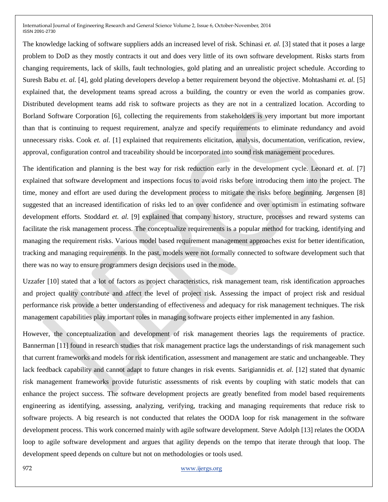The knowledge lacking of software suppliers adds an increased level of risk. Schinasi *et. al.* [3] stated that it poses a large problem to DoD as they mostly contracts it out and does very little of its own software development. Risks starts from changing requirements, lack of skills, fault technologies, gold plating and an unrealistic project schedule. According to Suresh Babu *et. al.* [4], gold plating developers develop a better requirement beyond the objective. Mohtashami *et. al.* [5] explained that, the development teams spread across a building, the country or even the world as companies grow. Distributed development teams add risk to software projects as they are not in a centralized location. According to Borland Software Corporation [6], collecting the requirements from stakeholders is very important but more important than that is continuing to request requirement, analyze and specify requirements to eliminate redundancy and avoid unnecessary risks. Cook *et. al.* [1] explained that requirements elicitation, analysis, documentation, verification, review, approval, configuration control and traceability should be incorporated into sound risk management procedures.

The identification and planning is the best way for risk reduction early in the development cycle. Leonard *et. al.* [7] explained that software development and inspections focus to avoid risks before introducing them into the project. The time, money and effort are used during the development process to mitigate the risks before beginning. Jørgensen [8] suggested that an increased identification of risks led to an over confidence and over optimism in estimating software development efforts. Stoddard *et. al.* [9] explained that company history, structure, processes and reward systems can facilitate the risk management process. The conceptualize requirements is a popular method for tracking, identifying and managing the requirement risks. Various model based requirement management approaches exist for better identification, tracking and managing requirements. In the past, models were not formally connected to software development such that there was no way to ensure programmers design decisions used in the mode.

Uzzafer [10] stated that a lot of factors as project characteristics, risk management team, risk identification approaches and project quality contribute and affect the level of project risk. Assessing the impact of project risk and residual performance risk provide a better understanding of effectiveness and adequacy for risk management techniques. The risk management capabilities play important roles in managing software projects either implemented in any fashion.

However, the conceptualization and development of risk management theories lags the requirements of practice. Bannerman [11] found in research studies that risk management practice lags the understandings of risk management such that current frameworks and models for risk identification, assessment and management are static and unchangeable. They lack feedback capability and cannot adapt to future changes in risk events. Sarigiannidis *et. al.* [12] stated that dynamic risk management frameworks provide futuristic assessments of risk events by coupling with static models that can enhance the project success. The software development projects are greatly benefited from model based requirements engineering as identifying, assessing, analyzing, verifying, tracking and managing requirements that reduce risk to software projects. A big research is not conducted that relates the OODA loop for risk management in the software development process. This work concerned mainly with agile software development. Steve Adolph [13] relates the OODA loop to agile software development and argues that agility depends on the tempo that iterate through that loop. The development speed depends on culture but not on methodologies or tools used.

972 www.ijergs.org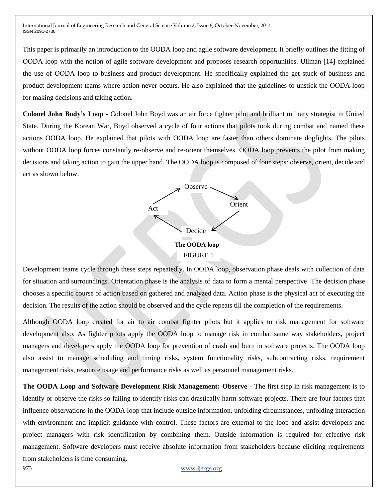This paper is primarily an introduction to the OODA loop and agile software development. It briefly outlines the fitting of OODA loop with the notion of agile software development and proposes research opportunities. Ullman [14] explained the use of OODA loop to business and product development. He specifically explained the get stuck of business and product development teams where action never occurs. He also explained that the guidelines to unstick the OODA loop for making decisions and taking action.

**Colonel John Body's Loop -** Colonel John Boyd was an air force fighter pilot and brilliant military strategist in United State. During the Korean War, Boyd observed a cycle of four actions that pilots took during combat and named these actions OODA loop. He explained that pilots with OODA loop are faster than others dominate dogfights. The pilots without OODA loop forces constantly re-observe and re-orient themselves. OODA loop prevents the pilot from making decisions and taking action to gain the upper hand. The OODA loop is composed of four steps: observe, orient, decide and act as shown below.



Development teams cycle through these steps repeatedly. In OODA loop, observation phase deals with collection of data for situation and surroundings. Orientation phase is the analysis of data to form a mental perspective. The decision phase chooses a specific course of action based on gathered and analyzed data. Action phase is the physical act of executing the decision. The results of the action should be observed and the cycle repeats till the completion of the requirements.

Although OODA loop created for air to air combat fighter pilots but it applies to risk management for software development also. As fighter pilots apply the OODA loop to manage risk in combat same way stakeholders, project managers and developers apply the OODA loop for prevention of crash and burn in software projects. The OODA loop also assist to manage scheduling and timing risks, system functionality risks, subcontracting risks, requirement management risks, resource usage and performance risks as well as personnel management risks.

**The OODA Loop and Software Development Risk Management: Observe -** The first step in risk management is to identify or observe the risks so failing to identify risks can drastically harm software projects. There are four factors that influence observations in the OODA loop that include outside information, unfolding circumstances, unfolding interaction with environment and implicit guidance with control. These factors are external to the loop and assist developers and project managers with risk identification by combining them. Outside information is required for effective risk management. Software developers must receive absolute information from stakeholders because eliciting requirements from stakeholders is time consuming.

973 www.ijergs.org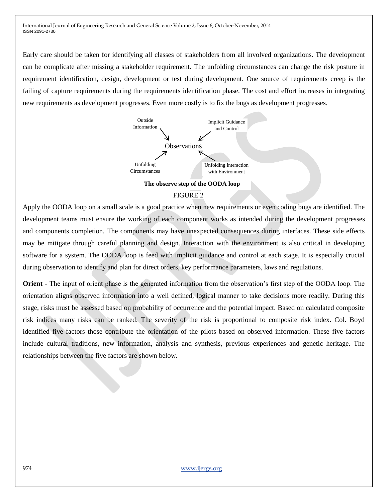Early care should be taken for identifying all classes of stakeholders from all involved organizations. The development can be complicate after missing a stakeholder requirement. The unfolding circumstances can change the risk posture in requirement identification, design, development or test during development. One source of requirements creep is the failing of capture requirements during the requirements identification phase. The cost and effort increases in integrating new requirements as development progresses. Even more costly is to fix the bugs as development progresses.



## FIGURE 2

Apply the OODA loop on a small scale is a good practice when new requirements or even coding bugs are identified. The development teams must ensure the working of each component works as intended during the development progresses and components completion. The components may have unexpected consequences during interfaces. These side effects may be mitigate through careful planning and design. Interaction with the environment is also critical in developing software for a system. The OODA loop is feed with implicit guidance and control at each stage. It is especially crucial during observation to identify and plan for direct orders, key performance parameters, laws and regulations.

**Orient -** The input of orient phase is the generated information from the observation's first step of the OODA loop. The orientation aligns observed information into a well defined, logical manner to take decisions more readily. During this stage, risks must be assessed based on probability of occurrence and the potential impact. Based on calculated composite risk indices many risks can be ranked. The severity of the risk is proportional to composite risk index. Col. Boyd identified five factors those contribute the orientation of the pilots based on observed information. These five factors include cultural traditions, new information, analysis and synthesis, previous experiences and genetic heritage. The relationships between the five factors are shown below.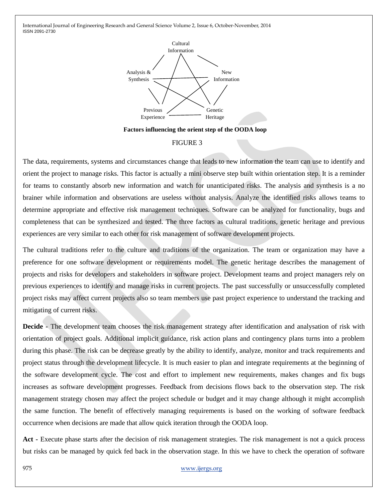

**Factors influencing the orient step of the OODA loop**

#### FIGURE 3

The data, requirements, systems and circumstances change that leads to new information the team can use to identify and orient the project to manage risks. This factor is actually a mini observe step built within orientation step. It is a reminder for teams to constantly absorb new information and watch for unanticipated risks. The analysis and synthesis is a no brainer while information and observations are useless without analysis. Analyze the identified risks allows teams to determine appropriate and effective risk management techniques. Software can be analyzed for functionality, bugs and completeness that can be synthesized and tested. The three factors as cultural traditions, genetic heritage and previous experiences are very similar to each other for risk management of software development projects.

The cultural traditions refer to the culture and traditions of the organization. The team or organization may have a preference for one software development or requirements model. The genetic heritage describes the management of projects and risks for developers and stakeholders in software project. Development teams and project managers rely on previous experiences to identify and manage risks in current projects. The past successfully or unsuccessfully completed project risks may affect current projects also so team members use past project experience to understand the tracking and mitigating of current risks.

**Decide -** The development team chooses the risk management strategy after identification and analysation of risk with orientation of project goals. Additional implicit guidance, risk action plans and contingency plans turns into a problem during this phase. The risk can be decrease greatly by the ability to identify, analyze, monitor and track requirements and project status through the development lifecycle. It is much easier to plan and integrate requirements at the beginning of the software development cycle. The cost and effort to implement new requirements, makes changes and fix bugs increases as software development progresses. Feedback from decisions flows back to the observation step. The risk management strategy chosen may affect the project schedule or budget and it may change although it might accomplish the same function. The benefit of effectively managing requirements is based on the working of software feedback occurrence when decisions are made that allow quick iteration through the OODA loop.

**Act -** Execute phase starts after the decision of risk management strategies. The risk management is not a quick process but risks can be managed by quick fed back in the observation stage. In this we have to check the operation of software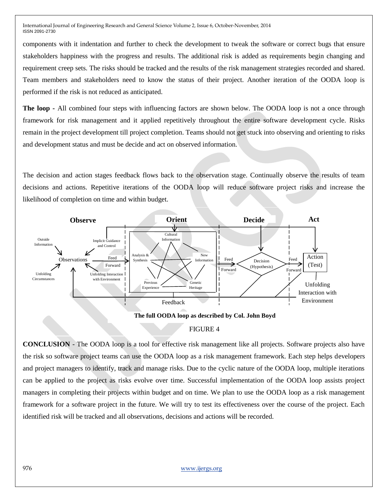components with it indentation and further to check the development to tweak the software or correct bugs that ensure stakeholders happiness with the progress and results. The additional risk is added as requirements begin changing and requirement creep sets. The risks should be tracked and the results of the risk management strategies recorded and shared. Team members and stakeholders need to know the status of their project. Another iteration of the OODA loop is performed if the risk is not reduced as anticipated.

**The loop -** All combined four steps with influencing factors are shown below. The OODA loop is not a once through framework for risk management and it applied repetitively throughout the entire software development cycle. Risks remain in the project development till project completion. Teams should not get stuck into observing and orienting to risks and development status and must be decide and act on observed information.

The decision and action stages feedback flows back to the observation stage. Continually observe the results of team decisions and actions. Repetitive iterations of the OODA loop will reduce software project risks and increase the likelihood of completion on time and within budget.



## FIGURE 4

**CONCLUSION** - The OODA loop is a tool for effective risk management like all projects. Software projects also have the risk so software project teams can use the OODA loop as a risk management framework. Each step helps developers and project managers to identify, track and manage risks. Due to the cyclic nature of the OODA loop, multiple iterations can be applied to the project as risks evolve over time. Successful implementation of the OODA loop assists project managers in completing their projects within budget and on time. We plan to use the OODA loop as a risk management framework for a software project in the future. We will try to test its effectiveness over the course of the project. Each identified risk will be tracked and all observations, decisions and actions will be recorded.